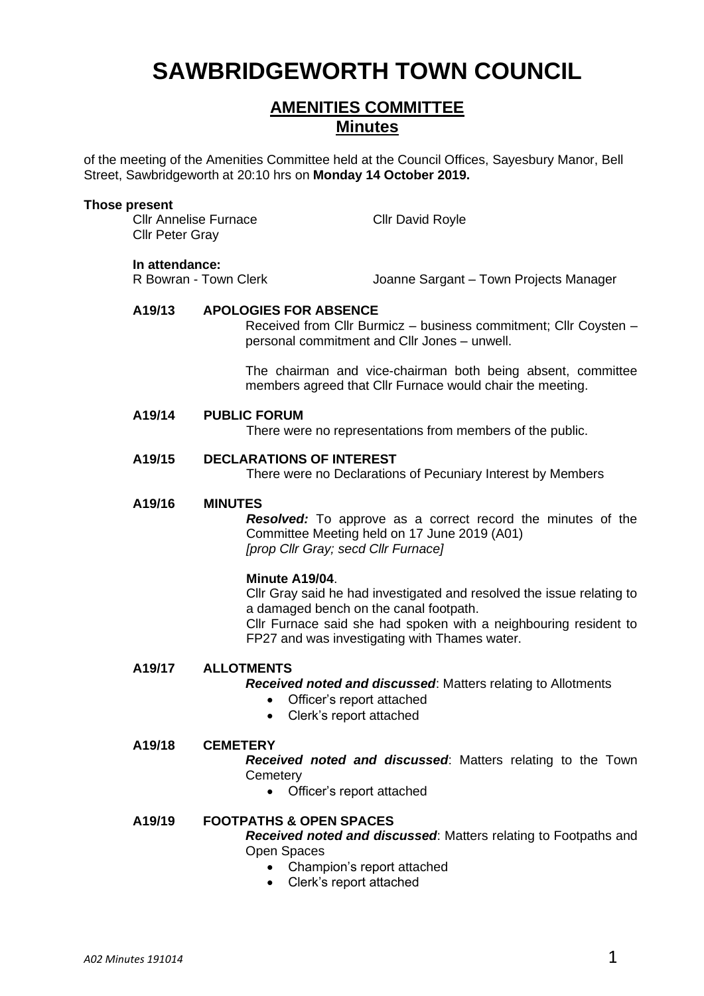# **SAWBRIDGEWORTH TOWN COUNCIL**

# **AMENITIES COMMITTEE Minutes**

of the meeting of the Amenities Committee held at the Council Offices, Sayesbury Manor, Bell Street, Sawbridgeworth at 20:10 hrs on **Monday 14 October 2019.**

#### **Those present**

Cllr Annelise Furnace Cllr David Royle Cllr Peter Gray

**In attendance:**<br>R Bowran - Town Clerk

Joanne Sargant – Town Projects Manager

#### **A19/13 APOLOGIES FOR ABSENCE**

Received from Cllr Burmicz – business commitment; Cllr Coysten – personal commitment and Cllr Jones – unwell.

The chairman and vice-chairman both being absent, committee members agreed that Cllr Furnace would chair the meeting.

#### **A19/14 PUBLIC FORUM**

There were no representations from members of the public.

#### **A19/15 DECLARATIONS OF INTEREST**

There were no Declarations of Pecuniary Interest by Members

#### **A19/16 MINUTES**

*Resolved:* To approve as a correct record the minutes of the Committee Meeting held on 17 June 2019 (A01) *[prop Cllr Gray; secd Cllr Furnace]*

#### **Minute A19/04**.

Cllr Gray said he had investigated and resolved the issue relating to a damaged bench on the canal footpath. Cllr Furnace said she had spoken with a neighbouring resident to FP27 and was investigating with Thames water.

#### **A19/17 ALLOTMENTS**

*Received noted and discussed*: Matters relating to Allotments

- Officer's report attached
- Clerk's report attached

#### **A19/18 CEMETERY**

*Received noted and discussed*: Matters relating to the Town **Cemetery** 

• Officer's report attached

#### **A19/19 FOOTPATHS & OPEN SPACES**

*Received noted and discussed*: Matters relating to Footpaths and Open Spaces

- Champion's report attached
- Clerk's report attached